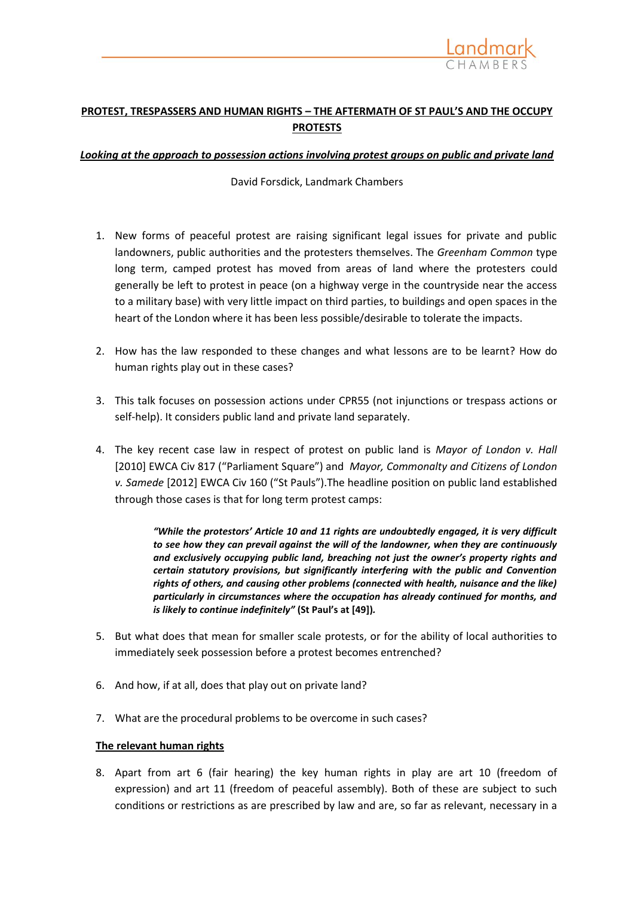

# **PROTEST, TRESPASSERS AND HUMAN RIGHTS – THE AFTERMATH OF ST PAUL'S AND THE OCCUPY PROTESTS**

#### *Looking at the approach to possession actions involving protest groups on public and private land*

David Forsdick, Landmark Chambers

- 1. New forms of peaceful protest are raising significant legal issues for private and public landowners, public authorities and the protesters themselves. The *Greenham Common* type long term, camped protest has moved from areas of land where the protesters could generally be left to protest in peace (on a highway verge in the countryside near the access to a military base) with very little impact on third parties, to buildings and open spaces in the heart of the London where it has been less possible/desirable to tolerate the impacts.
- 2. How has the law responded to these changes and what lessons are to be learnt? How do human rights play out in these cases?
- 3. This talk focuses on possession actions under CPR55 (not injunctions or trespass actions or self-help). It considers public land and private land separately.
- 4. The key recent case law in respect of protest on public land is *Mayor of London v. Hall*  [2010] EWCA Civ 817 ("Parliament Square") and *Mayor, Commonalty and Citizens of London v. Samede* [2012] EWCA Civ 160 ("St Pauls").The headline position on public land established through those cases is that for long term protest camps:

*"While the protestors' Article 10 and 11 rights are undoubtedly engaged, it is very difficult to see how they can prevail against the will of the landowner, when they are continuously and exclusively occupying public land, breaching not just the owner's property rights and certain statutory provisions, but significantly interfering with the public and Convention rights of others, and causing other problems (connected with health, nuisance and the like) particularly in circumstances where the occupation has already continued for months, and is likely to continue indefinitely"* **(St Paul's at [49])***.*

- 5. But what does that mean for smaller scale protests, or for the ability of local authorities to immediately seek possession before a protest becomes entrenched?
- 6. And how, if at all, does that play out on private land?
- 7. What are the procedural problems to be overcome in such cases?

#### **The relevant human rights**

8. Apart from art 6 (fair hearing) the key human rights in play are art 10 (freedom of expression) and art 11 (freedom of peaceful assembly). Both of these are subject to such conditions or restrictions as are prescribed by law and are, so far as relevant, necessary in a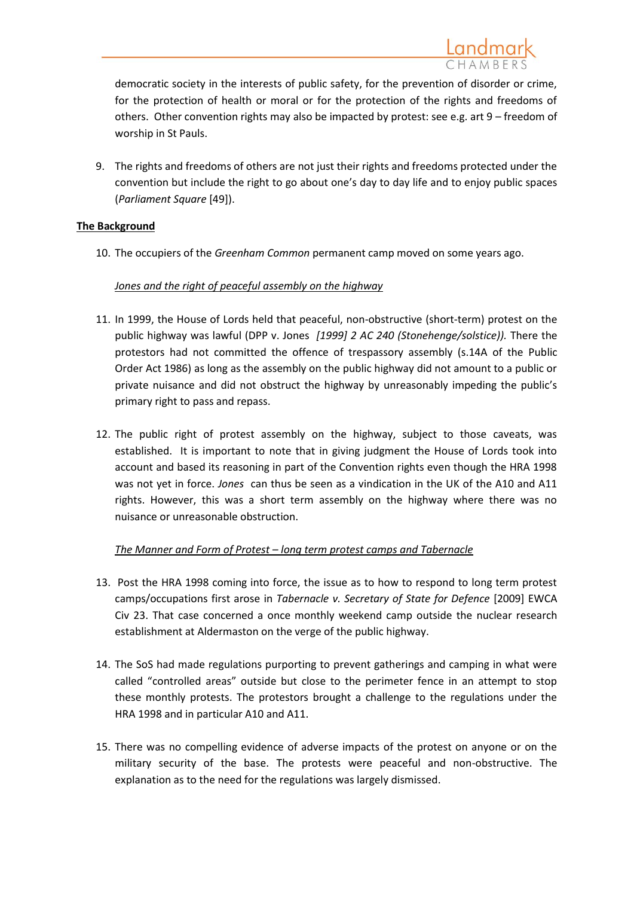9. The rights and freedoms of others are not just their rights and freedoms protected under the convention but include the right to go about one's day to day life and to enjoy public spaces (*Parliament Square* [49]).

# **The Background**

10. The occupiers of the *Greenham Common* permanent camp moved on some years ago.

# *Jones and the right of peaceful assembly on the highway*

- 11. In 1999, the House of Lords held that peaceful, non-obstructive (short-term) protest on the public highway was lawful (DPP v. Jones *[1999] 2 AC 240 (Stonehenge/solstice)).* There the protestors had not committed the offence of trespassory assembly (s.14A of the Public Order Act 1986) as long as the assembly on the public highway did not amount to a public or private nuisance and did not obstruct the highway by unreasonably impeding the public's primary right to pass and repass.
- 12. The public right of protest assembly on the highway, subject to those caveats, was established. It is important to note that in giving judgment the House of Lords took into account and based its reasoning in part of the Convention rights even though the HRA 1998 was not yet in force. *Jones* can thus be seen as a vindication in the UK of the A10 and A11 rights. However, this was a short term assembly on the highway where there was no nuisance or unreasonable obstruction.

# *The Manner and Form of Protest – long term protest camps and Tabernacle*

- 13. Post the HRA 1998 coming into force, the issue as to how to respond to long term protest camps/occupations first arose in *Tabernacle v. Secretary of State for Defence* [2009] EWCA Civ 23. That case concerned a once monthly weekend camp outside the nuclear research establishment at Aldermaston on the verge of the public highway.
- 14. The SoS had made regulations purporting to prevent gatherings and camping in what were called "controlled areas" outside but close to the perimeter fence in an attempt to stop these monthly protests. The protestors brought a challenge to the regulations under the HRA 1998 and in particular A10 and A11.
- 15. There was no compelling evidence of adverse impacts of the protest on anyone or on the military security of the base. The protests were peaceful and non-obstructive. The explanation as to the need for the regulations was largely dismissed.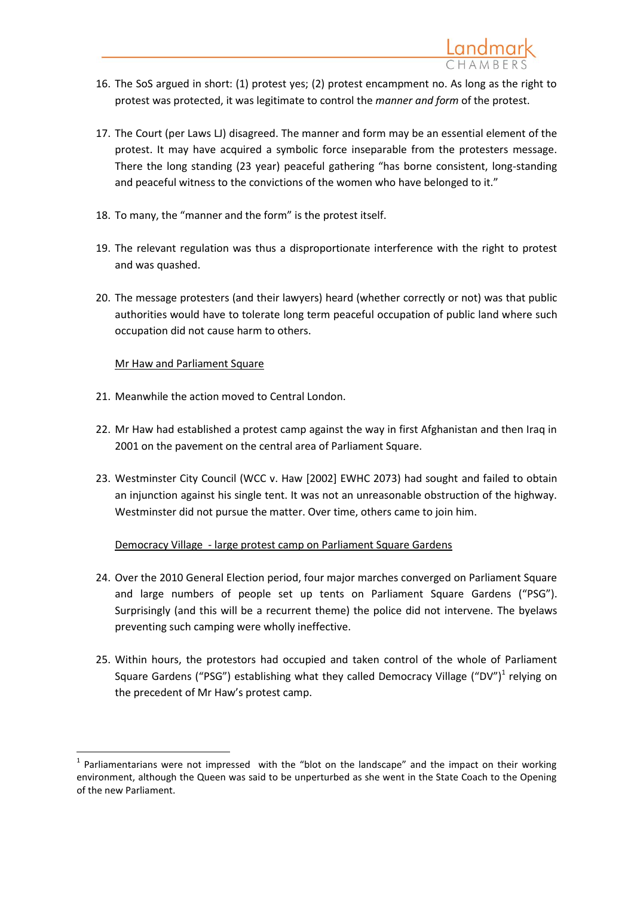- 16. The SoS argued in short: (1) protest yes; (2) protest encampment no. As long as the right to protest was protected, it was legitimate to control the *manner and form* of the protest.
- 17. The Court (per Laws LJ) disagreed. The manner and form may be an essential element of the protest. It may have acquired a symbolic force inseparable from the protesters message. There the long standing (23 year) peaceful gathering "has borne consistent, long-standing and peaceful witness to the convictions of the women who have belonged to it."
- 18. To many, the "manner and the form" is the protest itself.
- 19. The relevant regulation was thus a disproportionate interference with the right to protest and was quashed.
- 20. The message protesters (and their lawyers) heard (whether correctly or not) was that public authorities would have to tolerate long term peaceful occupation of public land where such occupation did not cause harm to others.

# Mr Haw and Parliament Square

- 21. Meanwhile the action moved to Central London.
- 22. Mr Haw had established a protest camp against the way in first Afghanistan and then Iraq in 2001 on the pavement on the central area of Parliament Square.
- 23. Westminster City Council (WCC v. Haw [2002] EWHC 2073) had sought and failed to obtain an injunction against his single tent. It was not an unreasonable obstruction of the highway. Westminster did not pursue the matter. Over time, others came to join him.

# Democracy Village - large protest camp on Parliament Square Gardens

- 24. Over the 2010 General Election period, four major marches converged on Parliament Square and large numbers of people set up tents on Parliament Square Gardens ("PSG"). Surprisingly (and this will be a recurrent theme) the police did not intervene. The byelaws preventing such camping were wholly ineffective.
- 25. Within hours, the protestors had occupied and taken control of the whole of Parliament Square Gardens ("PSG") establishing what they called Democracy Village ("DV")<sup>1</sup> relying on the precedent of Mr Haw's protest camp.

 $\overline{a}$  $<sup>1</sup>$  Parliamentarians were not impressed with the "blot on the landscape" and the impact on their working</sup> environment, although the Queen was said to be unperturbed as she went in the State Coach to the Opening of the new Parliament.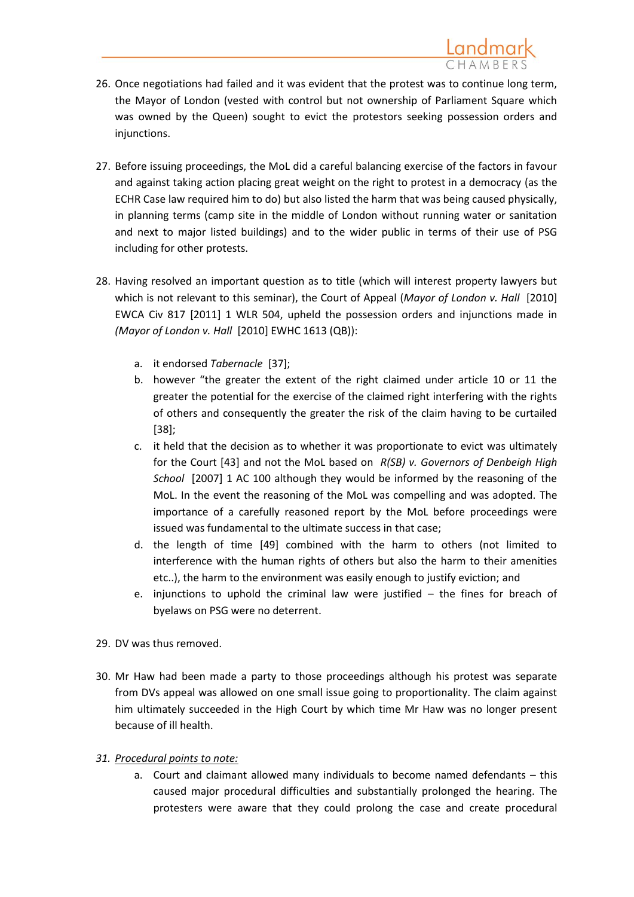- 26. Once negotiations had failed and it was evident that the protest was to continue long term, the Mayor of London (vested with control but not ownership of Parliament Square which was owned by the Queen) sought to evict the protestors seeking possession orders and injunctions.
- 27. Before issuing proceedings, the MoL did a careful balancing exercise of the factors in favour and against taking action placing great weight on the right to protest in a democracy (as the ECHR Case law required him to do) but also listed the harm that was being caused physically, in planning terms (camp site in the middle of London without running water or sanitation and next to major listed buildings) and to the wider public in terms of their use of PSG including for other protests.
- 28. Having resolved an important question as to title (which will interest property lawyers but which is not relevant to this seminar), the Court of Appeal (*Mayor of London v. Hall* [2010] EWCA Civ 817 [2011] 1 WLR 504, upheld the possession orders and injunctions made in *(Mayor of London v. Hall* [2010] EWHC 1613 (QB)):
	- a. it endorsed *Tabernacle* [37];
	- b. however "the greater the extent of the right claimed under article 10 or 11 the greater the potential for the exercise of the claimed right interfering with the rights of others and consequently the greater the risk of the claim having to be curtailed [38];
	- c. it held that the decision as to whether it was proportionate to evict was ultimately for the Court [43] and not the MoL based on *R(SB) v. Governors of Denbeigh High School* [2007] 1 AC 100 although they would be informed by the reasoning of the MoL. In the event the reasoning of the MoL was compelling and was adopted. The importance of a carefully reasoned report by the MoL before proceedings were issued was fundamental to the ultimate success in that case;
	- d. the length of time [49] combined with the harm to others (not limited to interference with the human rights of others but also the harm to their amenities etc..), the harm to the environment was easily enough to justify eviction; and
	- e. injunctions to uphold the criminal law were justified  $-$  the fines for breach of byelaws on PSG were no deterrent.
- 29. DV was thus removed.
- 30. Mr Haw had been made a party to those proceedings although his protest was separate from DVs appeal was allowed on one small issue going to proportionality. The claim against him ultimately succeeded in the High Court by which time Mr Haw was no longer present because of ill health.
- *31. Procedural points to note:* 
	- a. Court and claimant allowed many individuals to become named defendants this caused major procedural difficulties and substantially prolonged the hearing. The protesters were aware that they could prolong the case and create procedural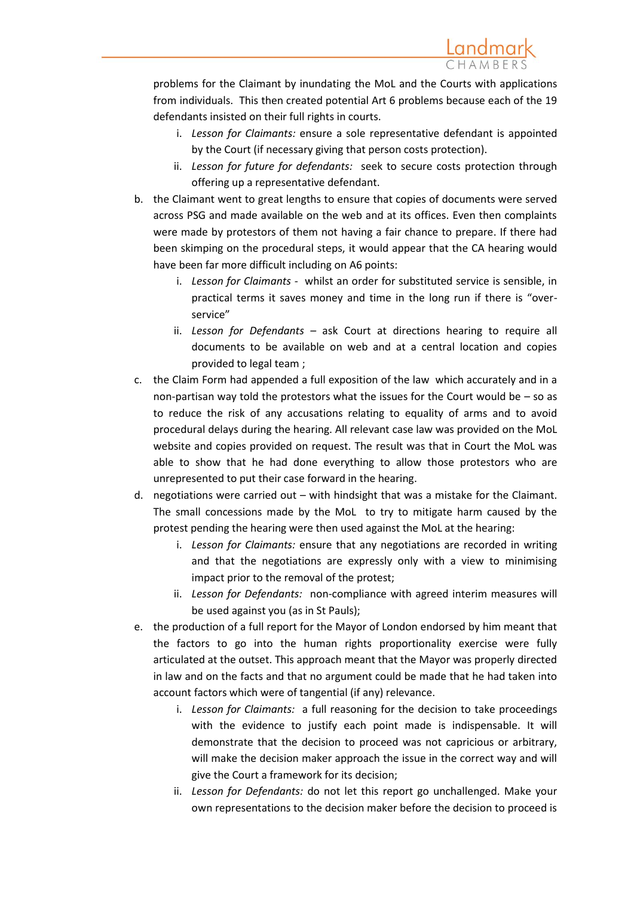problems for the Claimant by inundating the MoL and the Courts with applications from individuals. This then created potential Art 6 problems because each of the 19 defendants insisted on their full rights in courts.

- i. *Lesson for Claimants:* ensure a sole representative defendant is appointed by the Court (if necessary giving that person costs protection).
- ii. *Lesson for future for defendants:* seek to secure costs protection through offering up a representative defendant.
- b. the Claimant went to great lengths to ensure that copies of documents were served across PSG and made available on the web and at its offices. Even then complaints were made by protestors of them not having a fair chance to prepare. If there had been skimping on the procedural steps, it would appear that the CA hearing would have been far more difficult including on A6 points:
	- i. *Lesson for Claimants -* whilst an order for substituted service is sensible, in practical terms it saves money and time in the long run if there is "overservice"
	- ii. *Lesson for Defendants –* ask Court at directions hearing to require all documents to be available on web and at a central location and copies provided to legal team ;
- c. the Claim Form had appended a full exposition of the law which accurately and in a non-partisan way told the protestors what the issues for the Court would be – so as to reduce the risk of any accusations relating to equality of arms and to avoid procedural delays during the hearing. All relevant case law was provided on the MoL website and copies provided on request. The result was that in Court the MoL was able to show that he had done everything to allow those protestors who are unrepresented to put their case forward in the hearing.
- d. negotiations were carried out with hindsight that was a mistake for the Claimant. The small concessions made by the MoL to try to mitigate harm caused by the protest pending the hearing were then used against the MoL at the hearing:
	- i. *Lesson for Claimants:* ensure that any negotiations are recorded in writing and that the negotiations are expressly only with a view to minimising impact prior to the removal of the protest;
	- ii. *Lesson for Defendants:* non-compliance with agreed interim measures will be used against you (as in St Pauls);
- e. the production of a full report for the Mayor of London endorsed by him meant that the factors to go into the human rights proportionality exercise were fully articulated at the outset. This approach meant that the Mayor was properly directed in law and on the facts and that no argument could be made that he had taken into account factors which were of tangential (if any) relevance.
	- i. *Lesson for Claimants:* a full reasoning for the decision to take proceedings with the evidence to justify each point made is indispensable. It will demonstrate that the decision to proceed was not capricious or arbitrary, will make the decision maker approach the issue in the correct way and will give the Court a framework for its decision;
	- ii. *Lesson for Defendants:* do not let this report go unchallenged. Make your own representations to the decision maker before the decision to proceed is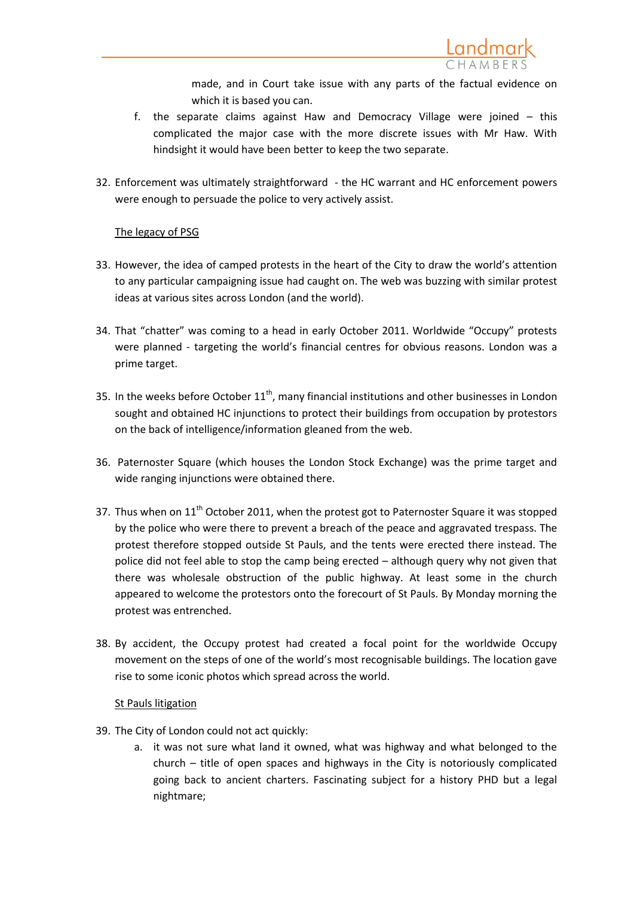made, and in Court take issue with any parts of the factual evidence on which it is based you can.

- f. the separate claims against Haw and Democracy Village were joined this complicated the major case with the more discrete issues with Mr Haw. With hindsight it would have been better to keep the two separate.
- 32. Enforcement was ultimately straightforward the HC warrant and HC enforcement powers were enough to persuade the police to very actively assist.

## The legacy of PSG

- 33. However, the idea of camped protests in the heart of the City to draw the world's attention to any particular campaigning issue had caught on. The web was buzzing with similar protest ideas at various sites across London (and the world).
- 34. That "chatter" was coming to a head in early October 2011. Worldwide "Occupy" protests were planned - targeting the world's financial centres for obvious reasons. London was a prime target.
- 35. In the weeks before October  $11<sup>th</sup>$ , many financial institutions and other businesses in London sought and obtained HC injunctions to protect their buildings from occupation by protestors on the back of intelligence/information gleaned from the web.
- 36. Paternoster Square (which houses the London Stock Exchange) was the prime target and wide ranging injunctions were obtained there.
- 37. Thus when on  $11<sup>th</sup>$  October 2011, when the protest got to Paternoster Square it was stopped by the police who were there to prevent a breach of the peace and aggravated trespass. The protest therefore stopped outside St Pauls, and the tents were erected there instead. The police did not feel able to stop the camp being erected – although query why not given that there was wholesale obstruction of the public highway. At least some in the church appeared to welcome the protestors onto the forecourt of St Pauls. By Monday morning the protest was entrenched.
- 38. By accident, the Occupy protest had created a focal point for the worldwide Occupy movement on the steps of one of the world's most recognisable buildings. The location gave rise to some iconic photos which spread across the world.

#### St Pauls litigation

- 39. The City of London could not act quickly:
	- a. it was not sure what land it owned, what was highway and what belonged to the church – title of open spaces and highways in the City is notoriously complicated going back to ancient charters. Fascinating subject for a history PHD but a legal nightmare;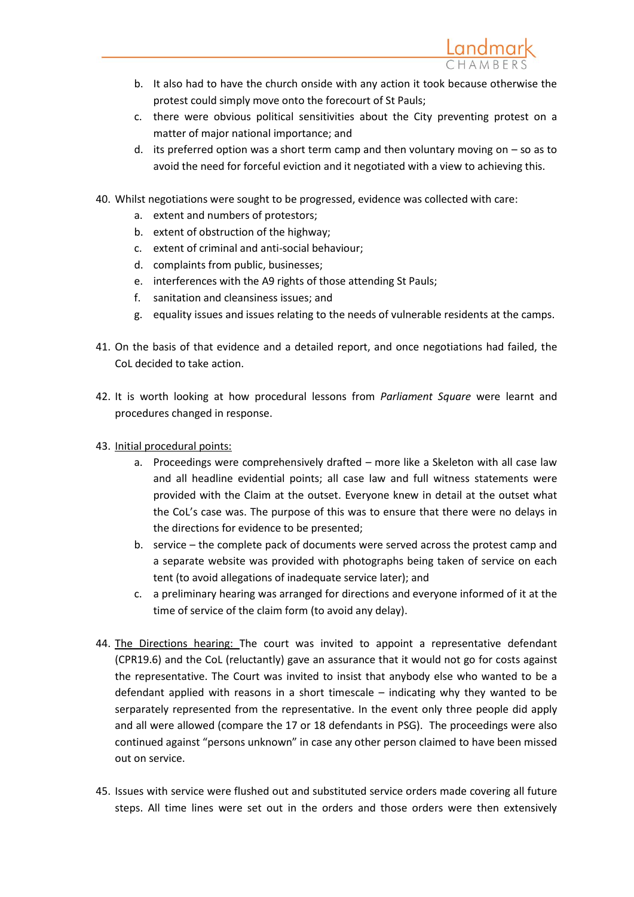

- c. there were obvious political sensitivities about the City preventing protest on a matter of major national importance; and
- d. its preferred option was a short term camp and then voluntary moving on  $-$  so as to avoid the need for forceful eviction and it negotiated with a view to achieving this.
- 40. Whilst negotiations were sought to be progressed, evidence was collected with care:
	- a. extent and numbers of protestors;
	- b. extent of obstruction of the highway;
	- c. extent of criminal and anti-social behaviour;
	- d. complaints from public, businesses;
	- e. interferences with the A9 rights of those attending St Pauls;
	- f. sanitation and cleansiness issues; and
	- g. equality issues and issues relating to the needs of vulnerable residents at the camps.
- 41. On the basis of that evidence and a detailed report, and once negotiations had failed, the CoL decided to take action.
- 42. It is worth looking at how procedural lessons from *Parliament Square* were learnt and procedures changed in response.
- 43. Initial procedural points:
	- a. Proceedings were comprehensively drafted more like a Skeleton with all case law and all headline evidential points; all case law and full witness statements were provided with the Claim at the outset. Everyone knew in detail at the outset what the CoL's case was. The purpose of this was to ensure that there were no delays in the directions for evidence to be presented;
	- b. service the complete pack of documents were served across the protest camp and a separate website was provided with photographs being taken of service on each tent (to avoid allegations of inadequate service later); and
	- c. a preliminary hearing was arranged for directions and everyone informed of it at the time of service of the claim form (to avoid any delay).
- 44. The Directions hearing: The court was invited to appoint a representative defendant (CPR19.6) and the CoL (reluctantly) gave an assurance that it would not go for costs against the representative. The Court was invited to insist that anybody else who wanted to be a defendant applied with reasons in a short timescale – indicating why they wanted to be serparately represented from the representative. In the event only three people did apply and all were allowed (compare the 17 or 18 defendants in PSG). The proceedings were also continued against "persons unknown" in case any other person claimed to have been missed out on service.
- 45. Issues with service were flushed out and substituted service orders made covering all future steps. All time lines were set out in the orders and those orders were then extensively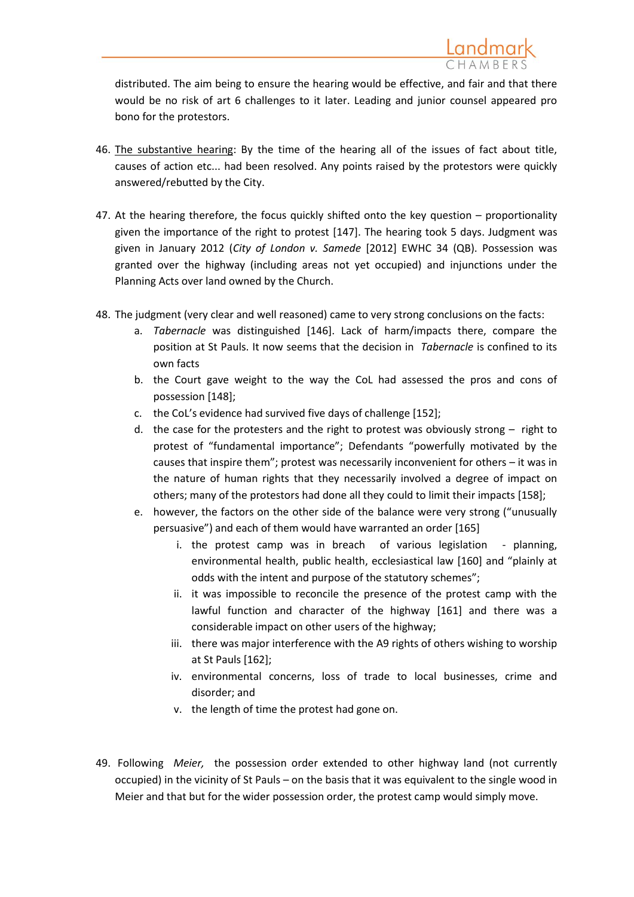distributed. The aim being to ensure the hearing would be effective, and fair and that there would be no risk of art 6 challenges to it later. Leading and junior counsel appeared pro bono for the protestors.

- 46. The substantive hearing: By the time of the hearing all of the issues of fact about title, causes of action etc... had been resolved. Any points raised by the protestors were quickly answered/rebutted by the City.
- 47. At the hearing therefore, the focus quickly shifted onto the key question proportionality given the importance of the right to protest [147]. The hearing took 5 days. Judgment was given in January 2012 (*City of London v. Samede* [2012] EWHC 34 (QB). Possession was granted over the highway (including areas not yet occupied) and injunctions under the Planning Acts over land owned by the Church.
- 48. The judgment (very clear and well reasoned) came to very strong conclusions on the facts:
	- a. *Tabernacle* was distinguished [146]. Lack of harm/impacts there, compare the position at St Pauls. It now seems that the decision in *Tabernacle* is confined to its own facts
	- b. the Court gave weight to the way the CoL had assessed the pros and cons of possession [148];
	- c. the CoL's evidence had survived five days of challenge [152];
	- d. the case for the protesters and the right to protest was obviously strong right to protest of "fundamental importance"; Defendants "powerfully motivated by the causes that inspire them"; protest was necessarily inconvenient for others – it was in the nature of human rights that they necessarily involved a degree of impact on others; many of the protestors had done all they could to limit their impacts [158];
	- e. however, the factors on the other side of the balance were very strong ("unusually persuasive") and each of them would have warranted an order [165]
		- i. the protest camp was in breach of various legislation planning, environmental health, public health, ecclesiastical law [160] and "plainly at odds with the intent and purpose of the statutory schemes";
		- ii. it was impossible to reconcile the presence of the protest camp with the lawful function and character of the highway [161] and there was a considerable impact on other users of the highway;
		- iii. there was major interference with the A9 rights of others wishing to worship at St Pauls [162];
		- iv. environmental concerns, loss of trade to local businesses, crime and disorder; and
		- v. the length of time the protest had gone on.
- 49. Following *Meier,* the possession order extended to other highway land (not currently occupied) in the vicinity of St Pauls – on the basis that it was equivalent to the single wood in Meier and that but for the wider possession order, the protest camp would simply move.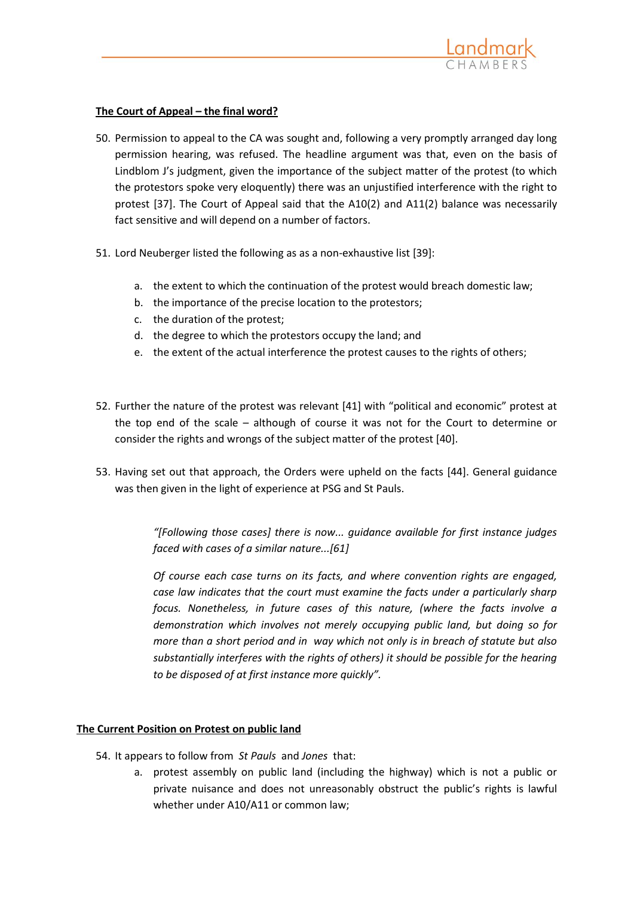

### **The Court of Appeal – the final word?**

- 50. Permission to appeal to the CA was sought and, following a very promptly arranged day long permission hearing, was refused. The headline argument was that, even on the basis of Lindblom J's judgment, given the importance of the subject matter of the protest (to which the protestors spoke very eloquently) there was an unjustified interference with the right to protest [37]. The Court of Appeal said that the A10(2) and A11(2) balance was necessarily fact sensitive and will depend on a number of factors.
- 51. Lord Neuberger listed the following as as a non-exhaustive list [39]:
	- a. the extent to which the continuation of the protest would breach domestic law;
	- b. the importance of the precise location to the protestors;
	- c. the duration of the protest;
	- d. the degree to which the protestors occupy the land; and
	- e. the extent of the actual interference the protest causes to the rights of others;
- 52. Further the nature of the protest was relevant [41] with "political and economic" protest at the top end of the scale – although of course it was not for the Court to determine or consider the rights and wrongs of the subject matter of the protest [40].
- 53. Having set out that approach, the Orders were upheld on the facts [44]. General guidance was then given in the light of experience at PSG and St Pauls.

*"[Following those cases] there is now... guidance available for first instance judges faced with cases of a similar nature...[61]*

*Of course each case turns on its facts, and where convention rights are engaged, case law indicates that the court must examine the facts under a particularly sharp focus. Nonetheless, in future cases of this nature, (where the facts involve a demonstration which involves not merely occupying public land, but doing so for more than a short period and in way which not only is in breach of statute but also substantially interferes with the rights of others) it should be possible for the hearing to be disposed of at first instance more quickly".*

#### **The Current Position on Protest on public land**

- 54. It appears to follow from *St Pauls* and *Jones* that:
	- a. protest assembly on public land (including the highway) which is not a public or private nuisance and does not unreasonably obstruct the public's rights is lawful whether under A10/A11 or common law;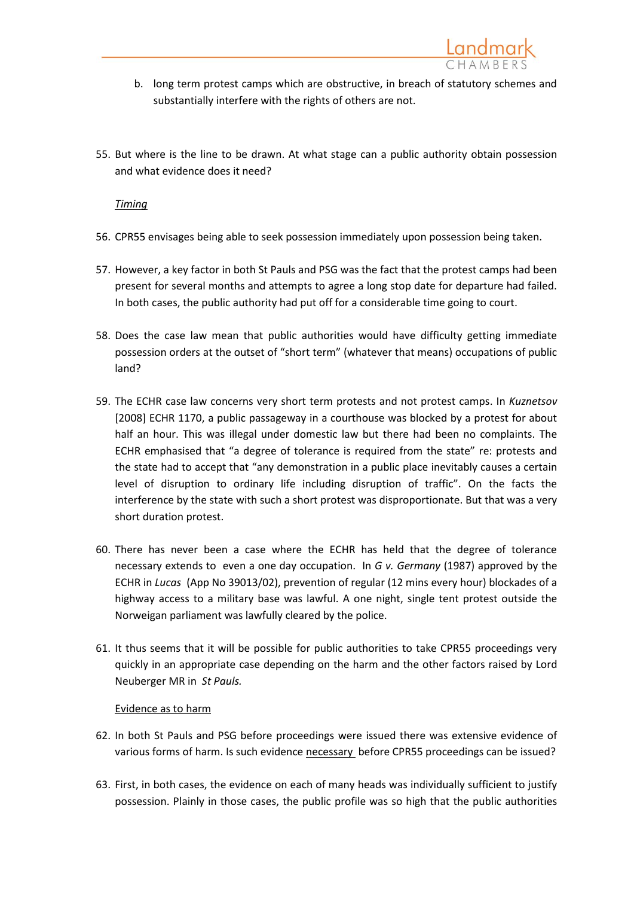- b. long term protest camps which are obstructive, in breach of statutory schemes and substantially interfere with the rights of others are not.
- 55. But where is the line to be drawn. At what stage can a public authority obtain possession and what evidence does it need?

*Timing*

- 56. CPR55 envisages being able to seek possession immediately upon possession being taken.
- 57. However, a key factor in both St Pauls and PSG was the fact that the protest camps had been present for several months and attempts to agree a long stop date for departure had failed. In both cases, the public authority had put off for a considerable time going to court.
- 58. Does the case law mean that public authorities would have difficulty getting immediate possession orders at the outset of "short term" (whatever that means) occupations of public land?
- 59. The ECHR case law concerns very short term protests and not protest camps. In *Kuznetsov*  [2008] ECHR 1170, a public passageway in a courthouse was blocked by a protest for about half an hour. This was illegal under domestic law but there had been no complaints. The ECHR emphasised that "a degree of tolerance is required from the state" re: protests and the state had to accept that "any demonstration in a public place inevitably causes a certain level of disruption to ordinary life including disruption of traffic". On the facts the interference by the state with such a short protest was disproportionate. But that was a very short duration protest.
- 60. There has never been a case where the ECHR has held that the degree of tolerance necessary extends to even a one day occupation. In *G v. Germany* (1987) approved by the ECHR in *Lucas* (App No 39013/02), prevention of regular (12 mins every hour) blockades of a highway access to a military base was lawful. A one night, single tent protest outside the Norweigan parliament was lawfully cleared by the police.
- 61. It thus seems that it will be possible for public authorities to take CPR55 proceedings very quickly in an appropriate case depending on the harm and the other factors raised by Lord Neuberger MR in *St Pauls.*

#### Evidence as to harm

- 62. In both St Pauls and PSG before proceedings were issued there was extensive evidence of various forms of harm. Is such evidence necessary before CPR55 proceedings can be issued?
- 63. First, in both cases, the evidence on each of many heads was individually sufficient to justify possession. Plainly in those cases, the public profile was so high that the public authorities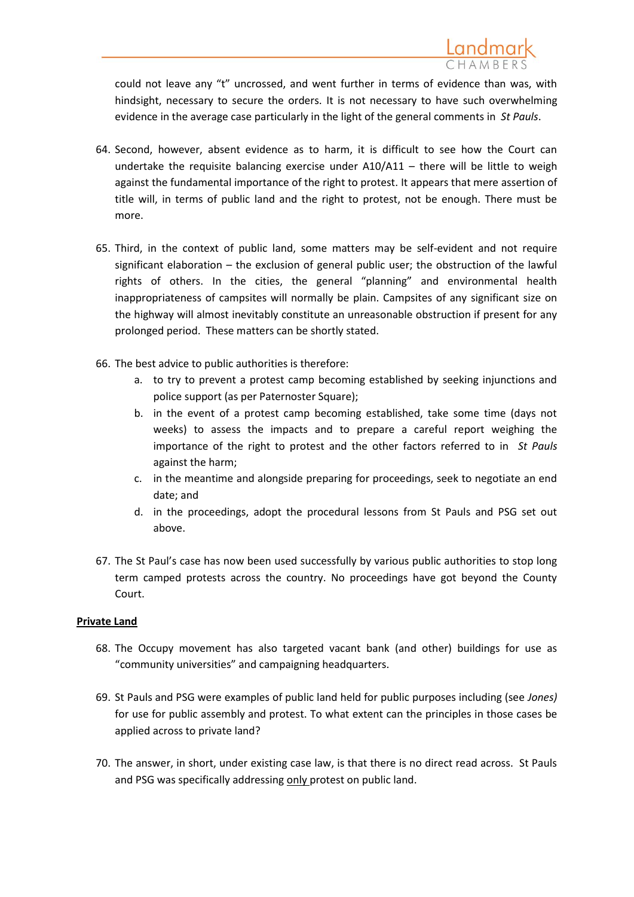could not leave any "t" uncrossed, and went further in terms of evidence than was, with hindsight, necessary to secure the orders. It is not necessary to have such overwhelming evidence in the average case particularly in the light of the general comments in *St Pauls*.

- 64. Second, however, absent evidence as to harm, it is difficult to see how the Court can undertake the requisite balancing exercise under  $A10/A11 -$  there will be little to weigh against the fundamental importance of the right to protest. It appears that mere assertion of title will, in terms of public land and the right to protest, not be enough. There must be more.
- 65. Third, in the context of public land, some matters may be self-evident and not require significant elaboration – the exclusion of general public user; the obstruction of the lawful rights of others. In the cities, the general "planning" and environmental health inappropriateness of campsites will normally be plain. Campsites of any significant size on the highway will almost inevitably constitute an unreasonable obstruction if present for any prolonged period. These matters can be shortly stated.
- 66. The best advice to public authorities is therefore:
	- a. to try to prevent a protest camp becoming established by seeking injunctions and police support (as per Paternoster Square);
	- b. in the event of a protest camp becoming established, take some time (days not weeks) to assess the impacts and to prepare a careful report weighing the importance of the right to protest and the other factors referred to in *St Pauls*  against the harm;
	- c. in the meantime and alongside preparing for proceedings, seek to negotiate an end date; and
	- d. in the proceedings, adopt the procedural lessons from St Pauls and PSG set out above.
- 67. The St Paul's case has now been used successfully by various public authorities to stop long term camped protests across the country. No proceedings have got beyond the County Court.

## **Private Land**

- 68. The Occupy movement has also targeted vacant bank (and other) buildings for use as "community universities" and campaigning headquarters.
- 69. St Pauls and PSG were examples of public land held for public purposes including (see *Jones)* for use for public assembly and protest. To what extent can the principles in those cases be applied across to private land?
- 70. The answer, in short, under existing case law, is that there is no direct read across. St Pauls and PSG was specifically addressing only protest on public land.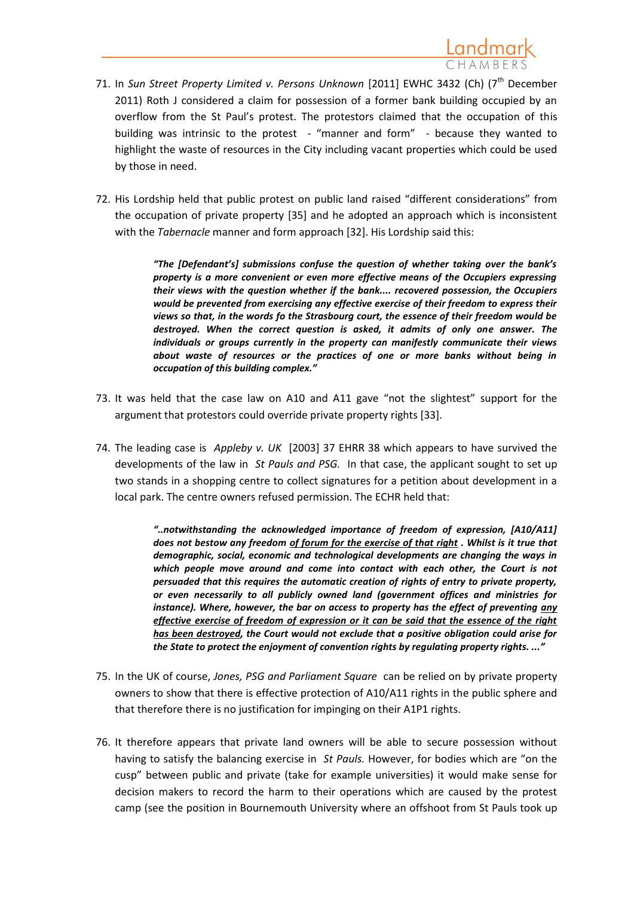Landmark

72. His Lordship held that public protest on public land raised "different considerations" from the occupation of private property [35] and he adopted an approach which is inconsistent with the *Tabernacle* manner and form approach [32]. His Lordship said this:

> *"The [Defendant's] submissions confuse the question of whether taking over the bank's property is a more convenient or even more effective means of the Occupiers expressing their views with the question whether if the bank.... recovered possession, the Occupiers would be prevented from exercising any effective exercise of their freedom to express their views so that, in the words fo the Strasbourg court, the essence of their freedom would be destroyed. When the correct question is asked, it admits of only one answer. The individuals or groups currently in the property can manifestly communicate their views about waste of resources or the practices of one or more banks without being in occupation of this building complex."*

- 73. It was held that the case law on A10 and A11 gave "not the slightest" support for the argument that protestors could override private property rights [33].
- 74. The leading case is *Appleby v. UK* [2003] 37 EHRR 38 which appears to have survived the developments of the law in *St Pauls and PSG.* In that case, the applicant sought to set up two stands in a shopping centre to collect signatures for a petition about development in a local park. The centre owners refused permission. The ECHR held that:

*"..notwithstanding the acknowledged importance of freedom of expression, [A10/A11] does not bestow any freedom of forum for the exercise of that right . Whilst is it true that demographic, social, economic and technological developments are changing the ways in*  which people move around and come into contact with each other, the Court is not *persuaded that this requires the automatic creation of rights of entry to private property, or even necessarily to all publicly owned land (government offices and ministries for instance). Where, however, the bar on access to property has the effect of preventing any effective exercise of freedom of expression or it can be said that the essence of the right has been destroyed, the Court would not exclude that a positive obligation could arise for the State to protect the enjoyment of convention rights by regulating property rights. ..."*

- 75. In the UK of course, *Jones, PSG and Parliament Square* can be relied on by private property owners to show that there is effective protection of A10/A11 rights in the public sphere and that therefore there is no justification for impinging on their A1P1 rights.
- 76. It therefore appears that private land owners will be able to secure possession without having to satisfy the balancing exercise in *St Pauls.* However, for bodies which are "on the cusp" between public and private (take for example universities) it would make sense for decision makers to record the harm to their operations which are caused by the protest camp (see the position in Bournemouth University where an offshoot from St Pauls took up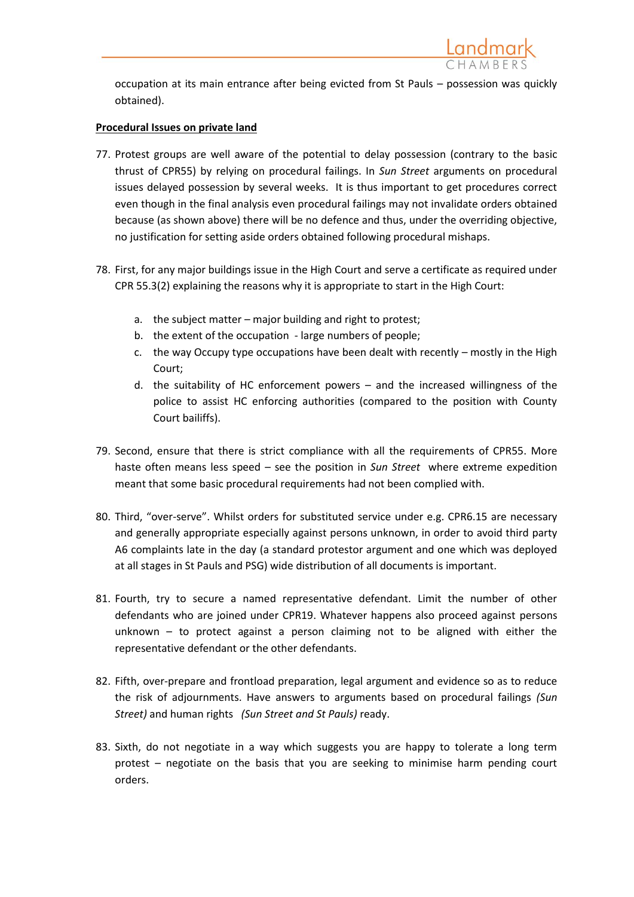

occupation at its main entrance after being evicted from St Pauls – possession was quickly obtained).

### **Procedural Issues on private land**

- 77. Protest groups are well aware of the potential to delay possession (contrary to the basic thrust of CPR55) by relying on procedural failings. In *Sun Street* arguments on procedural issues delayed possession by several weeks. It is thus important to get procedures correct even though in the final analysis even procedural failings may not invalidate orders obtained because (as shown above) there will be no defence and thus, under the overriding objective, no justification for setting aside orders obtained following procedural mishaps.
- 78. First, for any major buildings issue in the High Court and serve a certificate as required under CPR 55.3(2) explaining the reasons why it is appropriate to start in the High Court:
	- a. the subject matter major building and right to protest;
	- b. the extent of the occupation large numbers of people;
	- c. the way Occupy type occupations have been dealt with recently mostly in the High Court;
	- d. the suitability of HC enforcement powers and the increased willingness of the police to assist HC enforcing authorities (compared to the position with County Court bailiffs).
- 79. Second, ensure that there is strict compliance with all the requirements of CPR55. More haste often means less speed – see the position in *Sun Street* where extreme expedition meant that some basic procedural requirements had not been complied with.
- 80. Third, "over-serve". Whilst orders for substituted service under e.g. CPR6.15 are necessary and generally appropriate especially against persons unknown, in order to avoid third party A6 complaints late in the day (a standard protestor argument and one which was deployed at all stages in St Pauls and PSG) wide distribution of all documents is important.
- 81. Fourth, try to secure a named representative defendant. Limit the number of other defendants who are joined under CPR19. Whatever happens also proceed against persons unknown – to protect against a person claiming not to be aligned with either the representative defendant or the other defendants.
- 82. Fifth, over-prepare and frontload preparation, legal argument and evidence so as to reduce the risk of adjournments. Have answers to arguments based on procedural failings *(Sun Street)* and human rights *(Sun Street and St Pauls)* ready.
- 83. Sixth, do not negotiate in a way which suggests you are happy to tolerate a long term protest – negotiate on the basis that you are seeking to minimise harm pending court orders.